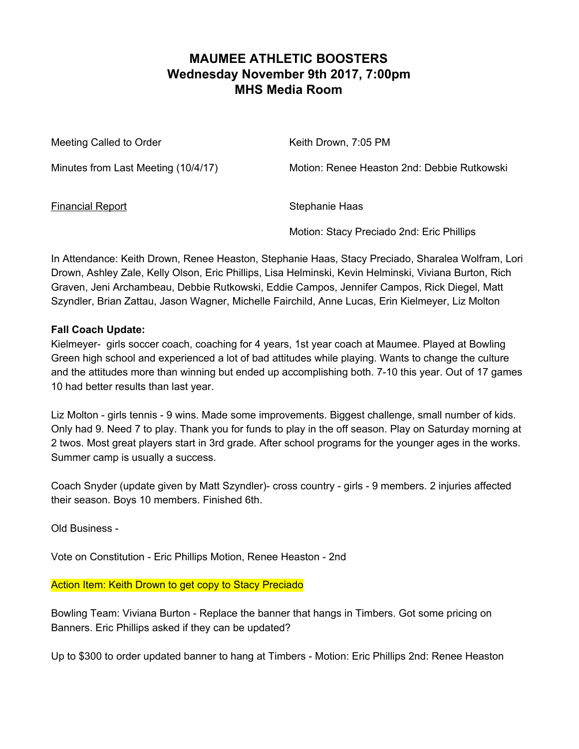### **MAUMEE ATHLETIC BOOSTERS Wednesday November 9th 2017, 7:00pm MHS Media Room**

Meeting Called to Order Network Charles Keith Drown, 7:05 PM Minutes from Last Meeting (10/4/17) Motion: Renee Heaston 2nd: Debbie Rutkowski Financial Report Stephanie Haas

Motion: Stacy Preciado 2nd: Eric Phillips

In Attendance: Keith Drown, Renee Heaston, Stephanie Haas, Stacy Preciado, Sharalea Wolfram, Lori Drown, Ashley Zale, Kelly Olson, Eric Phillips, Lisa Helminski, Kevin Helminski, Viviana Burton, Rich Graven, Jeni Archambeau, Debbie Rutkowski, Eddie Campos, Jennifer Campos, Rick Diegel, Matt Szyndler, Brian Zattau, Jason Wagner, Michelle Fairchild, Anne Lucas, Erin Kielmeyer, Liz Molton

#### **Fall Coach Update:**

Kielmeyer- girls soccer coach, coaching for 4 years, 1st year coach at Maumee. Played at Bowling Green high school and experienced a lot of bad attitudes while playing. Wants to change the culture and the attitudes more than winning but ended up accomplishing both. 7-10 this year. Out of 17 games 10 had better results than last year.

Liz Molton - girls tennis - 9 wins. Made some improvements. Biggest challenge, small number of kids. Only had 9. Need 7 to play. Thank you for funds to play in the off season. Play on Saturday morning at 2 twos. Most great players start in 3rd grade. After school programs for the younger ages in the works. Summer camp is usually a success.

Coach Snyder (update given by Matt Szyndler)- cross country - girls - 9 members. 2 injuries affected their season. Boys 10 members. Finished 6th.

Old Business -

Vote on Constitution - Eric Phillips Motion, Renee Heaston - 2nd

Action Item: Keith Drown to get copy to Stacy Preciado

Bowling Team: Viviana Burton - Replace the banner that hangs in Timbers. Got some pricing on Banners. Eric Phillips asked if they can be updated?

Up to \$300 to order updated banner to hang at Timbers - Motion: Eric Phillips 2nd: Renee Heaston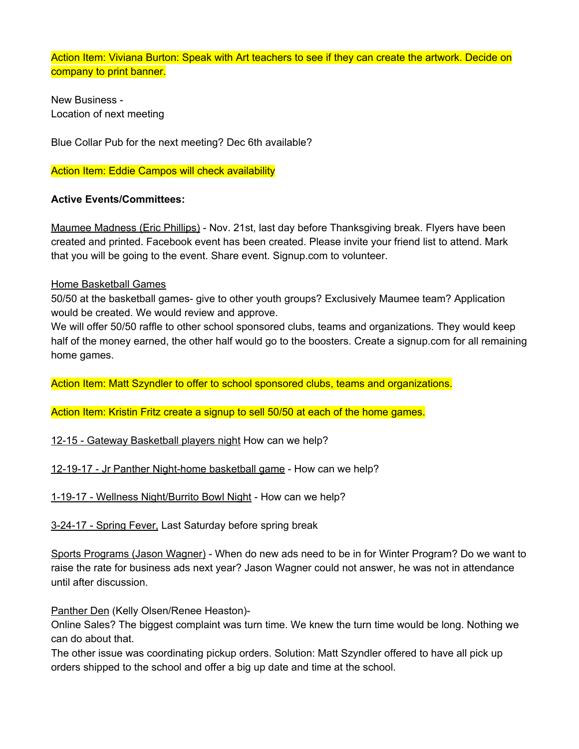Action Item: Viviana Burton: Speak with Art teachers to see if they can create the artwork. Decide on company to print banner.

New Business - Location of next meeting

Blue Collar Pub for the next meeting? Dec 6th available?

**Action Item: Eddie Campos will check availability** 

### **Active Events/Committees:**

Maumee Madness (Eric Phillips) - Nov. 21st, last day before Thanksgiving break. Flyers have been created and printed. Facebook event has been created. Please invite your friend list to attend. Mark that you will be going to the event. Share event. Signup.com to volunteer.

#### Home Basketball Games

50/50 at the basketball games- give to other youth groups? Exclusively Maumee team? Application would be created. We would review and approve.

We will offer 50/50 raffle to other school sponsored clubs, teams and organizations. They would keep half of the money earned, the other half would go to the boosters. Create a signup.com for all remaining home games.

Action Item: Matt Szyndler to offer to school sponsored clubs, teams and organizations.

Action Item: Kristin Fritz create a signup to sell 50/50 at each of the home games.

12-15 - Gateway Basketball players night How can we help?

12-19-17 - Jr Panther Night-home basketball game - How can we help?

1-19-17 - Wellness Night/Burrito Bowl Night - How can we help?

3-24-17 - Spring Fever, Last Saturday before spring break

Sports Programs (Jason Wagner) - When do new ads need to be in for Winter Program? Do we want to raise the rate for business ads next year? Jason Wagner could not answer, he was not in attendance until after discussion.

Panther Den (Kelly Olsen/Renee Heaston)-

Online Sales? The biggest complaint was turn time. We knew the turn time would be long. Nothing we can do about that.

The other issue was coordinating pickup orders. Solution: Matt Szyndler offered to have all pick up orders shipped to the school and offer a big up date and time at the school.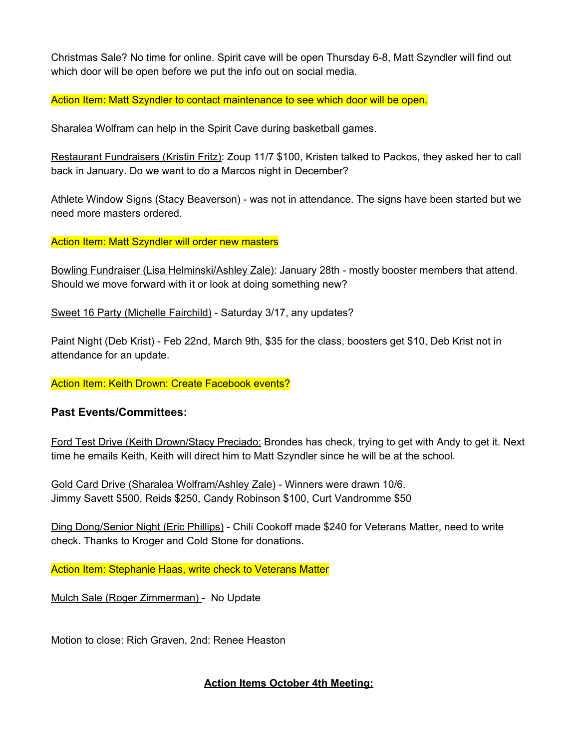Christmas Sale? No time for online. Spirit cave will be open Thursday 6-8, Matt Szyndler will find out which door will be open before we put the info out on social media.

Action Item: Matt Szyndler to contact maintenance to see which door will be open.

Sharalea Wolfram can help in the Spirit Cave during basketball games.

Restaurant Fundraisers (Kristin Fritz): Zoup 11/7 \$100, Kristen talked to Packos, they asked her to call back in January. Do we want to do a Marcos night in December?

Athlete Window Signs (Stacy Beaverson) - was not in attendance. The signs have been started but we need more masters ordered.

#### Action Item: Matt Szyndler will order new masters

Bowling Fundraiser (Lisa Helminski/Ashley Zale): January 28th - mostly booster members that attend. Should we move forward with it or look at doing something new?

Sweet 16 Party (Michelle Fairchild) - Saturday 3/17, any updates?

Paint Night (Deb Krist) - Feb 22nd, March 9th, \$35 for the class, boosters get \$10, Deb Krist not in attendance for an update.

Action Item: Keith Drown: Create Facebook events?

### **Past Events/Committees:**

Ford Test Drive (Keith Drown/Stacy Preciado: Brondes has check, trying to get with Andy to get it. Next time he emails Keith, Keith will direct him to Matt Szyndler since he will be at the school.

Gold Card Drive (Sharalea Wolfram/Ashley Zale) - Winners were drawn 10/6. Jimmy Savett \$500, Reids \$250, Candy Robinson \$100, Curt Vandromme \$50

Ding Dong/Senior Night (Eric Phillips) - Chili Cookoff made \$240 for Veterans Matter, need to write check. Thanks to Kroger and Cold Stone for donations.

Action Item: Stephanie Haas, write check to Veterans Matter

Mulch Sale (Roger Zimmerman) - No Update

Motion to close: Rich Graven, 2nd: Renee Heaston

### **Action Items October 4th Meeting:**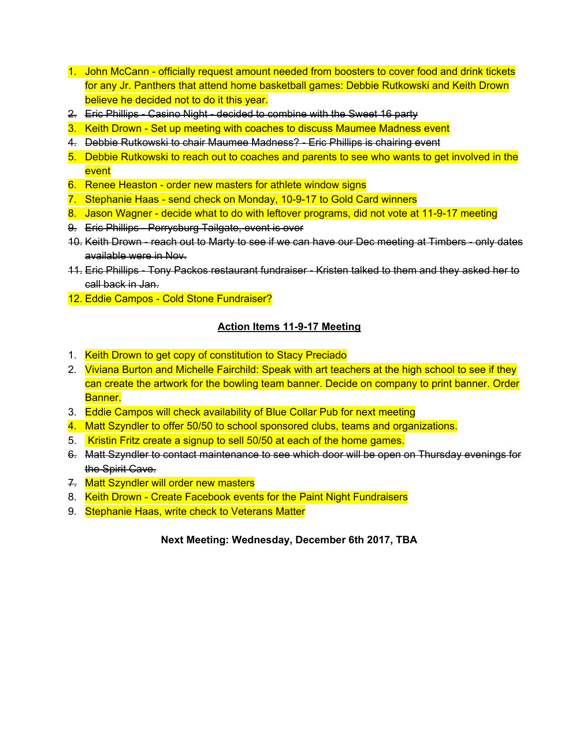- 1. John McCann officially request amount needed from boosters to cover food and drink tickets for any Jr. Panthers that attend home basketball games: Debbie Rutkowski and Keith Drown believe he decided not to do it this year.
- 2. Eric Phillips Casino Night decided to combine with the Sweet 16 party
- 3. Keith Drown Set up meeting with coaches to discuss Maumee Madness event
- 4. Debbie Rutkowski to chair Maumee Madness? Eric Phillips is chairing event
- 5. Debbie Rutkowski to reach out to coaches and parents to see who wants to get involved in the event
- 6. Renee Heaston order new masters for athlete window signs
- 7. Stephanie Haas send check on Monday, 10-9-17 to Gold Card winners
- 8. Jason Wagner decide what to do with leftover programs, did not vote at 11-9-17 meeting
- 9. Eric Phillips Perrysburg Tailgate, event is over
- 10. Keith Drown reach out to Marty to see if we can have our Dec meeting at Timbers only dates available were in Nov.
- 11. Eric Phillips Tony Packos restaurant fundraiser Kristen talked to them and they asked her to call back in Jan.
- 12. Eddie Campos Cold Stone Fundraiser?

### **Action Items 11-9-17 Meeting**

- 1. Keith Drown to get copy of constitution to Stacy Preciado
- 2. Viviana Burton and Michelle Fairchild: Speak with art teachers at the high school to see if they can create the artwork for the bowling team banner. Decide on company to print banner. Order Banner.
- 3. Eddie Campos will check availability of Blue Collar Pub for next meeting
- 4. Matt Szyndler to offer 50/50 to school sponsored clubs, teams and organizations.
- 5. Kristin Fritz create a signup to sell 50/50 at each of the home games.
- 6. Matt Szyndler to contact maintenance to see which door will be open on Thursday evenings for the Spirit Cave.
- 7. Matt Szyndler will order new masters
- 8. Keith Drown Create Facebook events for the Paint Night Fundraisers
- 9. Stephanie Haas, write check to Veterans Matter

**Next Meeting: Wednesday, December 6th 2017, TBA**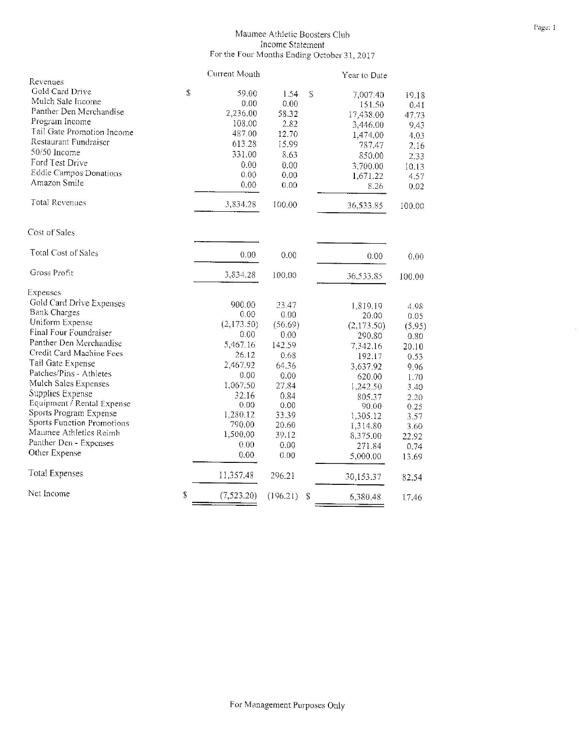## Maumee Athletic Boosters Club Income Statement<br>For the Four Months Ending October 31, 2017

|                                   |              | Current Month |          |                           | Year to Date |        |
|-----------------------------------|--------------|---------------|----------|---------------------------|--------------|--------|
| Revenues                          |              |               |          |                           |              |        |
| Gold Card Drive                   | $\mathbb{S}$ | 59.00         | 1.54     | S                         | 7,007.40     | 19.18  |
| Mulch Sale Income                 |              | 0.00          | 0.00     |                           | 151.50       | 0.41   |
| Panther Den Merchandise           |              | 2,236.00      | 58.32    |                           | 17,438.00    | 47.73  |
| Program Income                    |              | 108.00        | 2.82     |                           | 3,446.00     | 9.43   |
| Tail Gate Promotion Income        |              | 487.00        | 12.70    |                           | 1,474.00     | 4.03   |
| Restaurant Fundraiser             |              | 613.28        | 15.99    |                           | 787.47       | 2.16   |
| 50/50 Income                      |              | 331.00        | 8.63     |                           | 850.00       | 2.33   |
| Ford Test Drive                   |              | 0.00          | 0.00     |                           | 3,700.00     | 10.13  |
| <b>Eddie Campos Donations</b>     |              | 0.00          | 0.00     |                           | 1,671.22     | 4.57   |
| Amazon Smile                      |              | 0.00          | 0.00     |                           | 8.26         | 0.02   |
| <b>Total Revenues</b>             |              | 3,834.28      | 100.00   |                           | 36,533.85    | 100.00 |
| Cost of Sales                     |              |               |          |                           |              |        |
| Total Cost of Sales               |              | 0.00          | 0.00     |                           | 0.00         | 0.00   |
| Gross Profit                      |              | 3,834.28      | 100.00   |                           | 36,533.85    | 100.00 |
| Expenses                          |              |               |          |                           |              |        |
| Gold Card Drive Expenses          |              | 900.00        | 23.47    |                           | 1,819.19     | 4.98   |
| <b>Bank Charges</b>               |              | 0.00          | 0.00     |                           | 20.00        | 0.05   |
| Uniform Expense                   |              | (2,173.50)    | (56.69)  |                           | (2,173.50)   | (5.95) |
| Final Four Foundraiser            |              | 0.00          | 0.00     |                           | 290.80       | 0.80   |
| Panther Den Merchandise           |              | 5,467.16      | 142.59   |                           | 7,342.16     | 20.10  |
| Credit Card Machine Fees          |              | 26.12         | 0.68     |                           | 192.17       | 0.53   |
| Tail Gate Expense                 |              | 2,467.92      | 64.36    |                           | 3,637.92     | 9.96   |
| Patches/Pins - Athletes           |              | 0.00          | 0.00     |                           | 620.00       | 1.70   |
| Mulch Sales Expenses              |              | 1.067.50      | 27.84    |                           | 1,242.50     | 3.40   |
| Supplies Expense                  |              | 32.16         | 0.84     |                           | 805.37       | 2.20   |
| Equipment / Rental Expense        |              | 0.00          | 0.00     |                           | 90.00        | 0.25   |
| Sports Program Expense            |              | 1,280.12      | 33.39    |                           | 1,305.12     | 3.57   |
| <b>Sports Function Promotions</b> |              | 790.00        | 20.60    |                           | 1,314.80     | 3.60   |
| Maumee Athletics Reimb            |              | 1,500.00      | 39.12    |                           | 8,375.00     | 22.92  |
| Panther Den - Expenses            |              | 0.00          | 0.00     |                           | 271.84       | 0.74   |
| Other Expense                     |              | 0.00          | 0.00     |                           | 5,000.00     | 13.69  |
| <b>Total Expenses</b>             |              | 11,357.48     | 296.21   |                           | 30,153.37    | 82.54  |
| Net Income                        | $\mathbb S$  | (7, 523.20)   | (196.21) | $\boldsymbol{\mathsf{S}}$ | 6,380.48     | 17.46  |
|                                   |              |               |          |                           |              |        |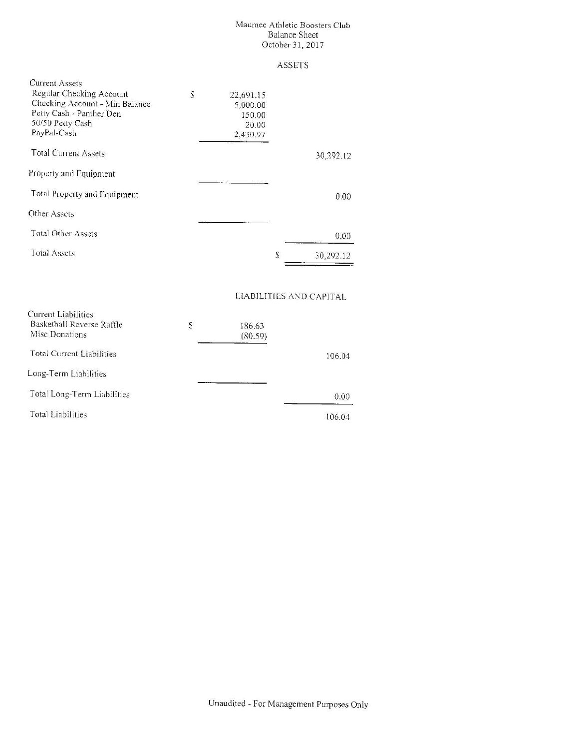# Maumee Athletic Boosters Club Balance Sousce<br>Balance Sheet<br>October 31, 2017

**ASSETS** 

| <b>Current Assets</b><br>Regular Checking Account<br>Checking Account - Min Balance<br>Petty Cash - Panther Den<br>50/50 Petty Cash<br>PayPal-Cash | S | 22,691.15<br>5,000.00<br>150.00<br>20.00<br>2,430.97 |   |                         |
|----------------------------------------------------------------------------------------------------------------------------------------------------|---|------------------------------------------------------|---|-------------------------|
| <b>Total Current Assets</b>                                                                                                                        |   |                                                      |   | 30,292.12               |
| Property and Equipment                                                                                                                             |   |                                                      |   |                         |
| Total Property and Equipment                                                                                                                       |   |                                                      |   | 0.00                    |
| Other Assets                                                                                                                                       |   |                                                      |   |                         |
| Total Other Assets                                                                                                                                 |   |                                                      |   | 0.00                    |
| Total Assets                                                                                                                                       |   |                                                      | S | 30,292.12               |
| Current Liabilities                                                                                                                                |   |                                                      |   | LIABILITIES AND CAPITAL |

| CHIVE LITULIUS<br>Basketball Reverse Raffle<br>Misc Donations | \$<br>186.63<br>(80.59) |        |
|---------------------------------------------------------------|-------------------------|--------|
| Total Current Liabilities                                     |                         | 106.04 |
| Long-Term Liabilities                                         |                         |        |
| Total Long-Term Liabilities                                   |                         | 0.00   |
| <b>Total Liabilities</b>                                      |                         | 106.04 |